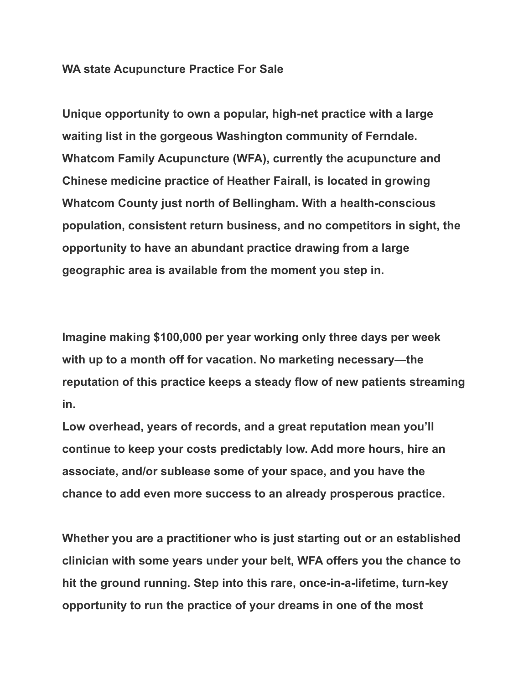## **WA state Acupuncture Practice For Sale**

**Unique opportunity to own a popular, high-net practice with a large waiting list in the gorgeous Washington community of Ferndale. Whatcom Family Acupuncture (WFA), currently the acupuncture and Chinese medicine practice of Heather Fairall, is located in growing Whatcom County just north of Bellingham. With a health-conscious population, consistent return business, and no competitors in sight, the opportunity to have an abundant practice drawing from a large geographic area is available from the moment you step in.**

**Imagine making \$100,000 per year working only three days per week with up to a month off for vacation. No marketing necessary—the reputation of this practice keeps a steady flow of new patients streaming in.**

**Low overhead, years of records, and a great reputation mean you'll continue to keep your costs predictably low. Add more hours, hire an associate, and/or sublease some of your space, and you have the chance to add even more success to an already prosperous practice.**

**Whether you are a practitioner who is just starting out or an established clinician with some years under your belt, WFA offers you the chance to hit the ground running. Step into this rare, once-in-a-lifetime, turn-key opportunity to run the practice of your dreams in one of the most**